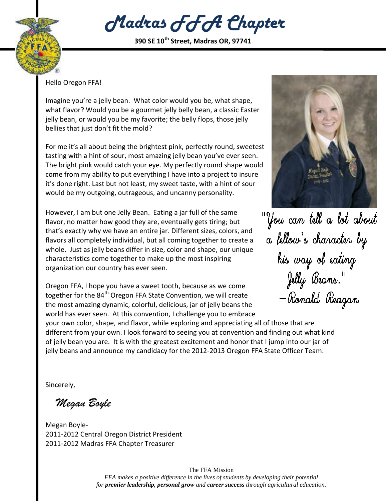

*Madras FFA Chapter*

**390 SE 10th Street, Madras OR, 97741**

Hello Oregon FFA!

Imagine you're a jelly bean. What color would you be, what shape, what flavor? Would you be a gourmet jelly belly bean, a classic Easter jelly bean, or would you be my favorite; the belly flops, those jelly bellies that just don't fit the mold?

For me it's all about being the brightest pink, perfectly round, sweetest tasting with a hint of sour, most amazing jelly bean you've ever seen. The bright pink would catch your eye. My perfectly round shape would come from my ability to put everything I have into a project to insure it's done right. Last but not least, my sweet taste, with a hint of sour would be my outgoing, outrageous, and uncanny personality.

However, I am but one Jelly Bean. Eating a jar full of the same flavor, no matter how good they are, eventually gets tiring; but that's exactly why we have an entire jar. Different sizes, colors, and flavors all completely individual, but all coming together to create a whole. Just as jelly beans differ in size, color and shape, our unique characteristics come together to make up the most inspiring organization our country has ever seen.

Oregon FFA, I hope you have a sweet tooth, because as we come together for the 84<sup>th</sup> Oregon FFA State Convention, we will create the most amazing dynamic, colorful, delicious, jar of jelly beans the world has ever seen. At this convention, I challenge you to embrace



'You can tell a lot about a fellow's character by his way of eating Jelly Beans."<br>— Ronald Reagan

your own color, shape, and flavor, while exploring and appreciating all of those that are different from your own. I look forward to seeing you at convention and finding out what kind of jelly bean you are. It is with the greatest excitement and honor that I jump into our jar of jelly beans and announce my candidacy for the 2012-2013 Oregon FFA State Officer Team.

Sincerely,

 *Megan Boyle*

Megan Boyle-2011-2012 Central Oregon District President 2011-2012 Madras FFA Chapter Treasurer

> The FFA Mission *FFA makes a positive difference in the lives of students by developing their potential for premier leadership, personal grow and career success through agricultural education.*